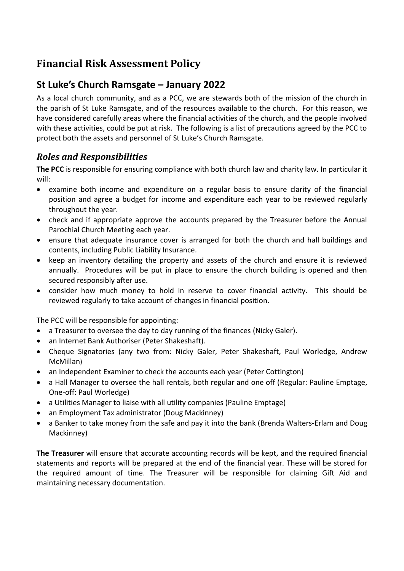# **Financial Risk Assessment Policy**

# **St Luke's Church Ramsgate – January 2022**

As a local church community, and as a PCC, we are stewards both of the mission of the church in the parish of St Luke Ramsgate, and of the resources available to the church. For this reason, we have considered carefully areas where the financial activities of the church, and the people involved with these activities, could be put at risk. The following is a list of precautions agreed by the PCC to protect both the assets and personnel of St Luke's Church Ramsgate.

# *Roles and Responsibilities*

**The PCC** is responsible for ensuring compliance with both church law and charity law. In particular it will:

- examine both income and expenditure on a regular basis to ensure clarity of the financial position and agree a budget for income and expenditure each year to be reviewed regularly throughout the year.
- check and if appropriate approve the accounts prepared by the Treasurer before the Annual Parochial Church Meeting each year.
- ensure that adequate insurance cover is arranged for both the church and hall buildings and contents, including Public Liability Insurance.
- keep an inventory detailing the property and assets of the church and ensure it is reviewed annually. Procedures will be put in place to ensure the church building is opened and then secured responsibly after use.
- consider how much money to hold in reserve to cover financial activity. This should be reviewed regularly to take account of changes in financial position.

The PCC will be responsible for appointing:

- a Treasurer to oversee the day to day running of the finances (Nicky Galer).
- an Internet Bank Authoriser (Peter Shakeshaft).
- Cheque Signatories (any two from: Nicky Galer, Peter Shakeshaft, Paul Worledge, Andrew McMillan)
- an Independent Examiner to check the accounts each year (Peter Cottington)
- a Hall Manager to oversee the hall rentals, both regular and one off (Regular: Pauline Emptage, One-off: Paul Worledge)
- a Utilities Manager to liaise with all utility companies (Pauline Emptage)
- an Employment Tax administrator (Doug Mackinney)
- a Banker to take money from the safe and pay it into the bank (Brenda Walters-Erlam and Doug Mackinney)

**The Treasurer** will ensure that accurate accounting records will be kept, and the required financial statements and reports will be prepared at the end of the financial year. These will be stored for the required amount of time. The Treasurer will be responsible for claiming Gift Aid and maintaining necessary documentation.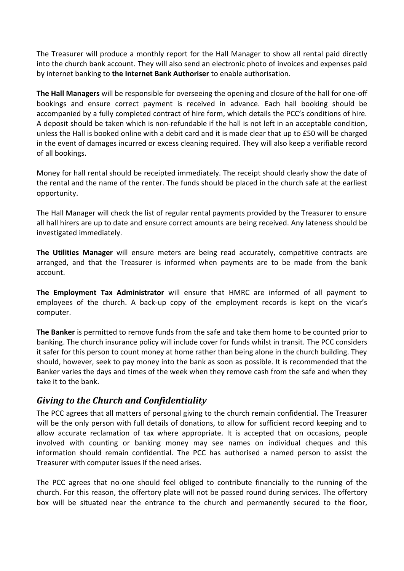The Treasurer will produce a monthly report for the Hall Manager to show all rental paid directly into the church bank account. They will also send an electronic photo of invoices and expenses paid by internet banking to **the Internet Bank Authoriser** to enable authorisation.

**The Hall Managers** will be responsible for overseeing the opening and closure of the hall for one-off bookings and ensure correct payment is received in advance. Each hall booking should be accompanied by a fully completed contract of hire form, which details the PCC's conditions of hire. A deposit should be taken which is non-refundable if the hall is not left in an acceptable condition, unless the Hall is booked online with a debit card and it is made clear that up to £50 will be charged in the event of damages incurred or excess cleaning required. They will also keep a verifiable record of all bookings.

Money for hall rental should be receipted immediately. The receipt should clearly show the date of the rental and the name of the renter. The funds should be placed in the church safe at the earliest opportunity.

The Hall Manager will check the list of regular rental payments provided by the Treasurer to ensure all hall hirers are up to date and ensure correct amounts are being received. Any lateness should be investigated immediately.

**The Utilities Manager** will ensure meters are being read accurately, competitive contracts are arranged, and that the Treasurer is informed when payments are to be made from the bank account.

**The Employment Tax Administrator** will ensure that HMRC are informed of all payment to employees of the church. A back-up copy of the employment records is kept on the vicar's computer.

**The Banker** is permitted to remove funds from the safe and take them home to be counted prior to banking. The church insurance policy will include cover for funds whilst in transit. The PCC considers it safer for this person to count money at home rather than being alone in the church building. They should, however, seek to pay money into the bank as soon as possible. It is recommended that the Banker varies the days and times of the week when they remove cash from the safe and when they take it to the bank.

#### *Giving to the Church and Confidentiality*

The PCC agrees that all matters of personal giving to the church remain confidential. The Treasurer will be the only person with full details of donations, to allow for sufficient record keeping and to allow accurate reclamation of tax where appropriate. It is accepted that on occasions, people involved with counting or banking money may see names on individual cheques and this information should remain confidential. The PCC has authorised a named person to assist the Treasurer with computer issues if the need arises.

The PCC agrees that no-one should feel obliged to contribute financially to the running of the church. For this reason, the offertory plate will not be passed round during services. The offertory box will be situated near the entrance to the church and permanently secured to the floor,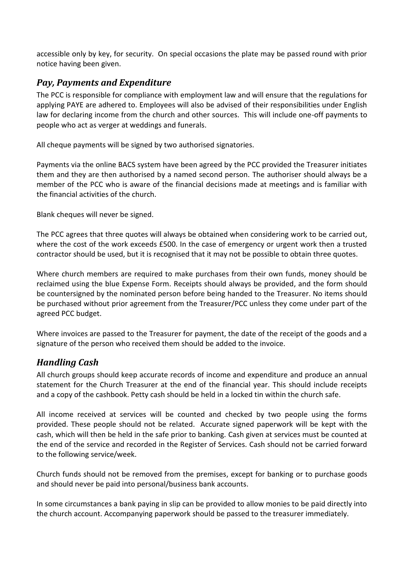accessible only by key, for security. On special occasions the plate may be passed round with prior notice having been given.

### *Pay, Payments and Expenditure*

The PCC is responsible for compliance with employment law and will ensure that the regulations for applying PAYE are adhered to. Employees will also be advised of their responsibilities under English law for declaring income from the church and other sources. This will include one-off payments to people who act as verger at weddings and funerals.

All cheque payments will be signed by two authorised signatories.

Payments via the online BACS system have been agreed by the PCC provided the Treasurer initiates them and they are then authorised by a named second person. The authoriser should always be a member of the PCC who is aware of the financial decisions made at meetings and is familiar with the financial activities of the church.

Blank cheques will never be signed.

The PCC agrees that three quotes will always be obtained when considering work to be carried out, where the cost of the work exceeds £500. In the case of emergency or urgent work then a trusted contractor should be used, but it is recognised that it may not be possible to obtain three quotes.

Where church members are required to make purchases from their own funds, money should be reclaimed using the blue Expense Form. Receipts should always be provided, and the form should be countersigned by the nominated person before being handed to the Treasurer. No items should be purchased without prior agreement from the Treasurer/PCC unless they come under part of the agreed PCC budget.

Where invoices are passed to the Treasurer for payment, the date of the receipt of the goods and a signature of the person who received them should be added to the invoice.

# *Handling Cash*

All church groups should keep accurate records of income and expenditure and produce an annual statement for the Church Treasurer at the end of the financial year. This should include receipts and a copy of the cashbook. Petty cash should be held in a locked tin within the church safe.

All income received at services will be counted and checked by two people using the forms provided. These people should not be related. Accurate signed paperwork will be kept with the cash, which will then be held in the safe prior to banking. Cash given at services must be counted at the end of the service and recorded in the Register of Services. Cash should not be carried forward to the following service/week.

Church funds should not be removed from the premises, except for banking or to purchase goods and should never be paid into personal/business bank accounts.

In some circumstances a bank paying in slip can be provided to allow monies to be paid directly into the church account. Accompanying paperwork should be passed to the treasurer immediately.